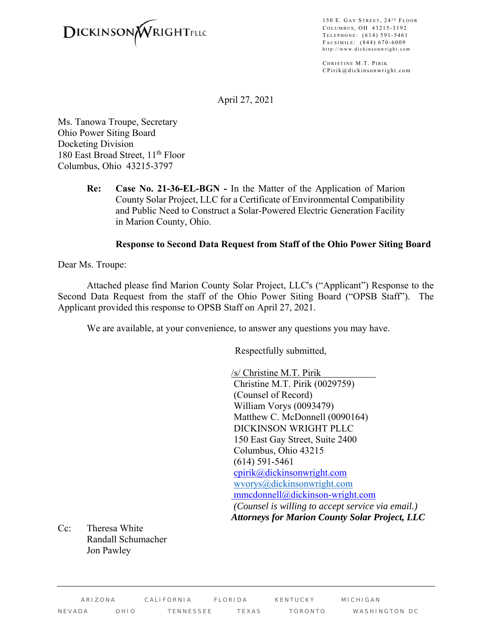

150 E. GAY STREET,  $24$ <sup>TH</sup> FLOOR COLUMBUS, OH 43215-3192 TELEPHONE: (614) 591-5461 F ACSIMILE : (844) 670-6009 http://www.dickinsonwright.com

CHRISTINE M.T. PIRIK CPirik@dickinsonwright.com

April 27, 2021

Ms. Tanowa Troupe, Secretary Ohio Power Siting Board Docketing Division 180 East Broad Street, 11<sup>th</sup> Floor Columbus, Ohio 43215-3797

> **Re: Case No. 21-36-EL-BGN -** In the Matter of the Application of Marion County Solar Project, LLC for a Certificate of Environmental Compatibility and Public Need to Construct a Solar-Powered Electric Generation Facility in Marion County, Ohio.

#### **Response to Second Data Request from Staff of the Ohio Power Siting Board**

Dear Ms. Troupe:

Attached please find Marion County Solar Project, LLC's ("Applicant") Response to the Second Data Request from the staff of the Ohio Power Siting Board ("OPSB Staff"). The Applicant provided this response to OPSB Staff on April 27, 2021.

We are available, at your convenience, to answer any questions you may have.

Respectfully submitted,

/s/ Christine M.T. Pirik Christine M.T. Pirik (0029759) (Counsel of Record) William Vorys (0093479) Matthew C. McDonnell (0090164) DICKINSON WRIGHT PLLC 150 East Gay Street, Suite 2400 Columbus, Ohio 43215 (614) 591-5461 cpirik@dickinsonwright.com wvorys@dickinsonwright.com mmcdonnell@dickinson-wright.com  *(Counsel is willing to accept service via email.) Attorneys for Marion County Solar Project, LLC*

Cc: Theresa White Randall Schumacher Jon Pawley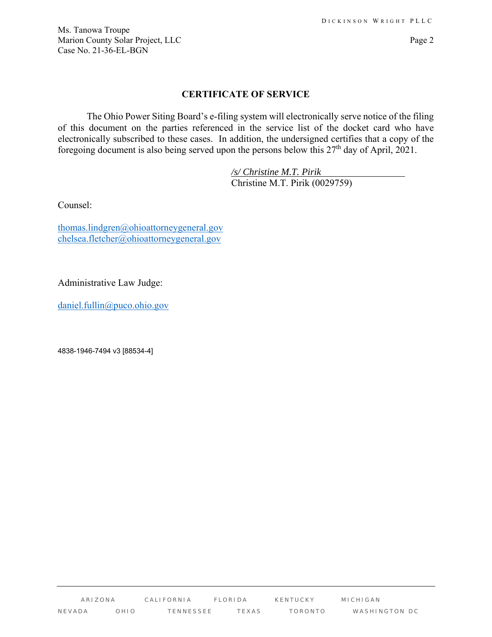Ms. Tanowa Troupe Marion County Solar Project, LLC Page 2 Case No. 21-36-EL-BGN

## **CERTIFICATE OF SERVICE**

The Ohio Power Siting Board's e-filing system will electronically serve notice of the filing of this document on the parties referenced in the service list of the docket card who have electronically subscribed to these cases. In addition, the undersigned certifies that a copy of the foregoing document is also being served upon the persons below this  $27<sup>th</sup>$  day of April,  $2021$ .

> */s/ Christine M.T. Pirik*  Christine M.T. Pirik (0029759)

Counsel:

thomas.lindgren@ohioattorneygeneral.gov chelsea.fletcher@ohioattorneygeneral.gov

Administrative Law Judge:

daniel.fullin@puco.ohio.gov

4838-1946-7494 v3 [88534-4]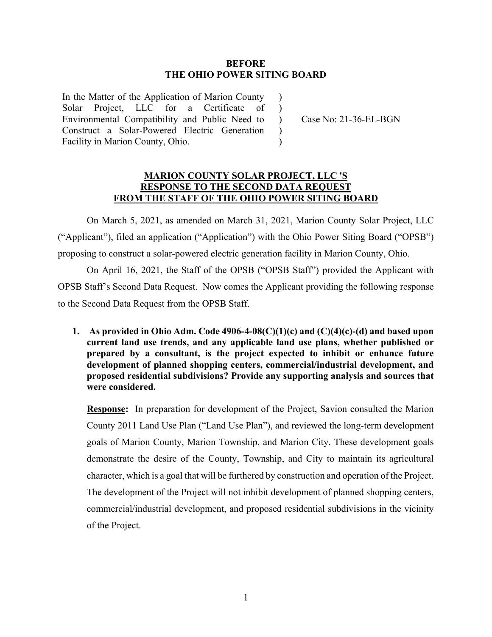#### **BEFORE THE OHIO POWER SITING BOARD**

 $\lambda$  $\lambda$ 

 $\mathcal{L}$  $\lambda$ 

In the Matter of the Application of Marion County Solar Project, LLC for a Certificate of Environmental Compatibility and Public Need to Construct a Solar-Powered Electric Generation Facility in Marion County, Ohio.

) Case No: 21-36-EL-BGN

## **MARION COUNTY SOLAR PROJECT, LLC 'S RESPONSE TO THE SECOND DATA REQUEST FROM THE STAFF OF THE OHIO POWER SITING BOARD**

 On March 5, 2021, as amended on March 31, 2021, Marion County Solar Project, LLC ("Applicant"), filed an application ("Application") with the Ohio Power Siting Board ("OPSB") proposing to construct a solar-powered electric generation facility in Marion County, Ohio.

 On April 16, 2021, the Staff of the OPSB ("OPSB Staff") provided the Applicant with OPSB Staff's Second Data Request. Now comes the Applicant providing the following response to the Second Data Request from the OPSB Staff.

**1. As provided in Ohio Adm. Code 4906-4-08(C)(1)(c) and (C)(4)(c)-(d) and based upon current land use trends, and any applicable land use plans, whether published or prepared by a consultant, is the project expected to inhibit or enhance future development of planned shopping centers, commercial/industrial development, and proposed residential subdivisions? Provide any supporting analysis and sources that were considered.** 

**Response:** In preparation for development of the Project, Savion consulted the Marion County 2011 Land Use Plan ("Land Use Plan"), and reviewed the long-term development goals of Marion County, Marion Township, and Marion City. These development goals demonstrate the desire of the County, Township, and City to maintain its agricultural character, which is a goal that will be furthered by construction and operation of the Project. The development of the Project will not inhibit development of planned shopping centers, commercial/industrial development, and proposed residential subdivisions in the vicinity of the Project.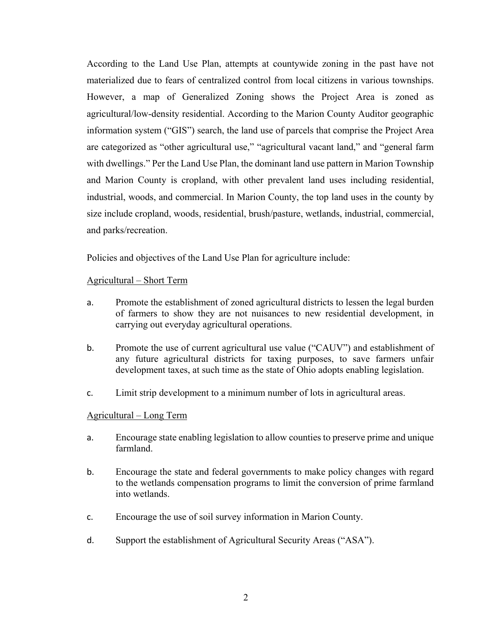According to the Land Use Plan, attempts at countywide zoning in the past have not materialized due to fears of centralized control from local citizens in various townships. However, a map of Generalized Zoning shows the Project Area is zoned as agricultural/low-density residential. According to the Marion County Auditor geographic information system ("GIS") search, the land use of parcels that comprise the Project Area are categorized as "other agricultural use," "agricultural vacant land," and "general farm with dwellings." Per the Land Use Plan, the dominant land use pattern in Marion Township and Marion County is cropland, with other prevalent land uses including residential, industrial, woods, and commercial. In Marion County, the top land uses in the county by size include cropland, woods, residential, brush/pasture, wetlands, industrial, commercial, and parks/recreation.

Policies and objectives of the Land Use Plan for agriculture include:

# Agricultural – Short Term

- a. Promote the establishment of zoned agricultural districts to lessen the legal burden of farmers to show they are not nuisances to new residential development, in carrying out everyday agricultural operations.
- b. Promote the use of current agricultural use value ("CAUV") and establishment of any future agricultural districts for taxing purposes, to save farmers unfair development taxes, at such time as the state of Ohio adopts enabling legislation.
- c. Limit strip development to a minimum number of lots in agricultural areas.

## Agricultural – Long Term

- a. Encourage state enabling legislation to allow counties to preserve prime and unique farmland.
- b. Encourage the state and federal governments to make policy changes with regard to the wetlands compensation programs to limit the conversion of prime farmland into wetlands.
- c. Encourage the use of soil survey information in Marion County.
- d. Support the establishment of Agricultural Security Areas ("ASA").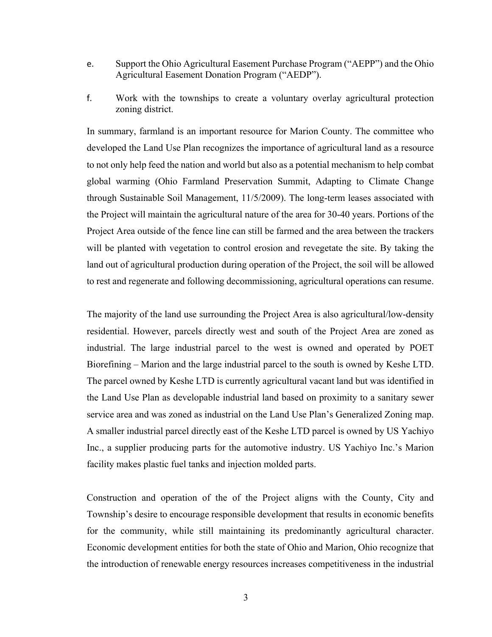- e. Support the Ohio Agricultural Easement Purchase Program ("AEPP") and the Ohio Agricultural Easement Donation Program ("AEDP").
- f. Work with the townships to create a voluntary overlay agricultural protection zoning district.

In summary, farmland is an important resource for Marion County. The committee who developed the Land Use Plan recognizes the importance of agricultural land as a resource to not only help feed the nation and world but also as a potential mechanism to help combat global warming (Ohio Farmland Preservation Summit, Adapting to Climate Change through Sustainable Soil Management, 11/5/2009). The long-term leases associated with the Project will maintain the agricultural nature of the area for 30-40 years. Portions of the Project Area outside of the fence line can still be farmed and the area between the trackers will be planted with vegetation to control erosion and revegetate the site. By taking the land out of agricultural production during operation of the Project, the soil will be allowed to rest and regenerate and following decommissioning, agricultural operations can resume.

The majority of the land use surrounding the Project Area is also agricultural/low-density residential. However, parcels directly west and south of the Project Area are zoned as industrial. The large industrial parcel to the west is owned and operated by POET Biorefining – Marion and the large industrial parcel to the south is owned by Keshe LTD. The parcel owned by Keshe LTD is currently agricultural vacant land but was identified in the Land Use Plan as developable industrial land based on proximity to a sanitary sewer service area and was zoned as industrial on the Land Use Plan's Generalized Zoning map. A smaller industrial parcel directly east of the Keshe LTD parcel is owned by US Yachiyo Inc., a supplier producing parts for the automotive industry. US Yachiyo Inc.'s Marion facility makes plastic fuel tanks and injection molded parts.

Construction and operation of the of the Project aligns with the County, City and Township's desire to encourage responsible development that results in economic benefits for the community, while still maintaining its predominantly agricultural character. Economic development entities for both the state of Ohio and Marion, Ohio recognize that the introduction of renewable energy resources increases competitiveness in the industrial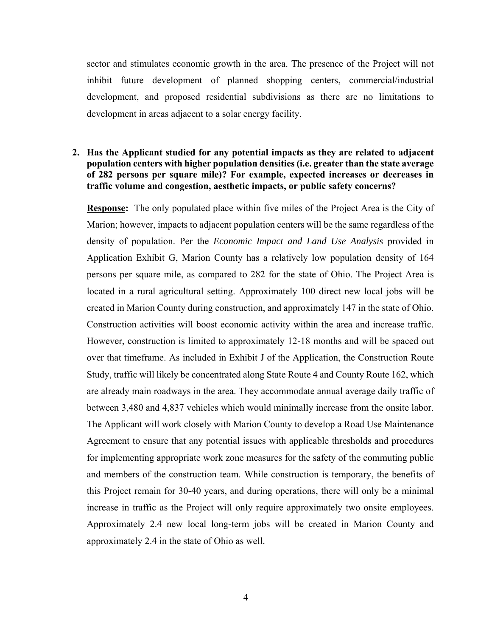sector and stimulates economic growth in the area. The presence of the Project will not inhibit future development of planned shopping centers, commercial/industrial development, and proposed residential subdivisions as there are no limitations to development in areas adjacent to a solar energy facility.

## **2. Has the Applicant studied for any potential impacts as they are related to adjacent population centers with higher population densities (i.e. greater than the state average of 282 persons per square mile)? For example, expected increases or decreases in traffic volume and congestion, aesthetic impacts, or public safety concerns?**

**Response:** The only populated place within five miles of the Project Area is the City of Marion; however, impacts to adjacent population centers will be the same regardless of the density of population. Per the *Economic Impact and Land Use Analysis* provided in Application Exhibit G, Marion County has a relatively low population density of 164 persons per square mile, as compared to 282 for the state of Ohio. The Project Area is located in a rural agricultural setting. Approximately 100 direct new local jobs will be created in Marion County during construction, and approximately 147 in the state of Ohio. Construction activities will boost economic activity within the area and increase traffic. However, construction is limited to approximately 12-18 months and will be spaced out over that timeframe. As included in Exhibit J of the Application, the Construction Route Study, traffic will likely be concentrated along State Route 4 and County Route 162, which are already main roadways in the area. They accommodate annual average daily traffic of between 3,480 and 4,837 vehicles which would minimally increase from the onsite labor. The Applicant will work closely with Marion County to develop a Road Use Maintenance Agreement to ensure that any potential issues with applicable thresholds and procedures for implementing appropriate work zone measures for the safety of the commuting public and members of the construction team. While construction is temporary, the benefits of this Project remain for 30-40 years, and during operations, there will only be a minimal increase in traffic as the Project will only require approximately two onsite employees. Approximately 2.4 new local long-term jobs will be created in Marion County and approximately 2.4 in the state of Ohio as well.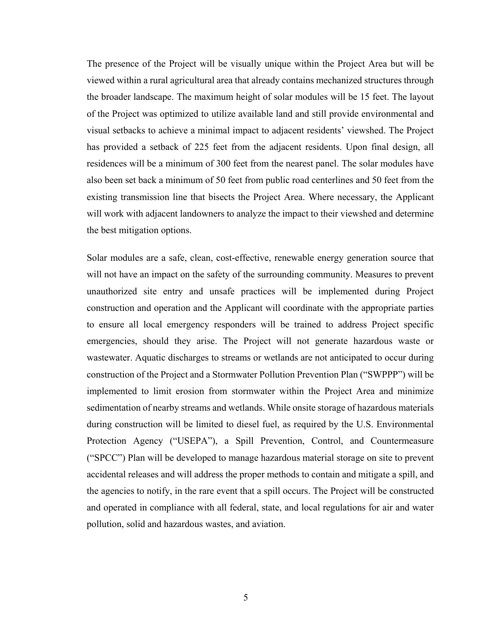The presence of the Project will be visually unique within the Project Area but will be viewed within a rural agricultural area that already contains mechanized structures through the broader landscape. The maximum height of solar modules will be 15 feet. The layout of the Project was optimized to utilize available land and still provide environmental and visual setbacks to achieve a minimal impact to adjacent residents' viewshed. The Project has provided a setback of 225 feet from the adjacent residents. Upon final design, all residences will be a minimum of 300 feet from the nearest panel. The solar modules have also been set back a minimum of 50 feet from public road centerlines and 50 feet from the existing transmission line that bisects the Project Area. Where necessary, the Applicant will work with adjacent landowners to analyze the impact to their viewshed and determine the best mitigation options.

Solar modules are a safe, clean, cost-effective, renewable energy generation source that will not have an impact on the safety of the surrounding community. Measures to prevent unauthorized site entry and unsafe practices will be implemented during Project construction and operation and the Applicant will coordinate with the appropriate parties to ensure all local emergency responders will be trained to address Project specific emergencies, should they arise. The Project will not generate hazardous waste or wastewater. Aquatic discharges to streams or wetlands are not anticipated to occur during construction of the Project and a Stormwater Pollution Prevention Plan ("SWPPP") will be implemented to limit erosion from stormwater within the Project Area and minimize sedimentation of nearby streams and wetlands. While onsite storage of hazardous materials during construction will be limited to diesel fuel, as required by the U.S. Environmental Protection Agency ("USEPA"), a Spill Prevention, Control, and Countermeasure ("SPCC") Plan will be developed to manage hazardous material storage on site to prevent accidental releases and will address the proper methods to contain and mitigate a spill, and the agencies to notify, in the rare event that a spill occurs. The Project will be constructed and operated in compliance with all federal, state, and local regulations for air and water pollution, solid and hazardous wastes, and aviation.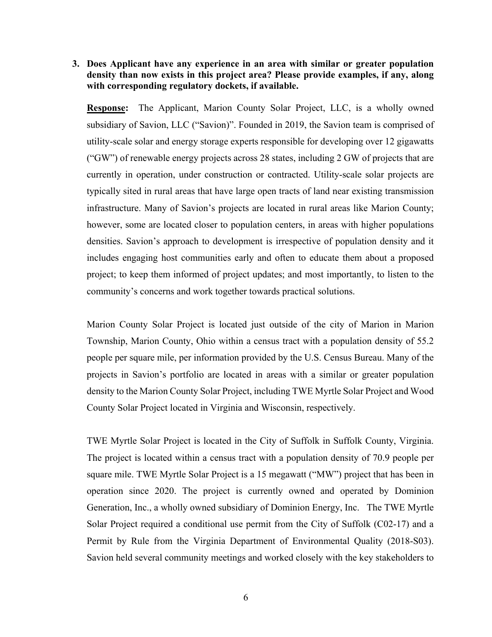**3. Does Applicant have any experience in an area with similar or greater population density than now exists in this project area? Please provide examples, if any, along with corresponding regulatory dockets, if available.** 

**Response:** The Applicant, Marion County Solar Project, LLC, is a wholly owned subsidiary of Savion, LLC ("Savion)". Founded in 2019, the Savion team is comprised of utility-scale solar and energy storage experts responsible for developing over 12 gigawatts ("GW") of renewable energy projects across 28 states, including 2 GW of projects that are currently in operation, under construction or contracted. Utility-scale solar projects are typically sited in rural areas that have large open tracts of land near existing transmission infrastructure. Many of Savion's projects are located in rural areas like Marion County; however, some are located closer to population centers, in areas with higher populations densities. Savion's approach to development is irrespective of population density and it includes engaging host communities early and often to educate them about a proposed project; to keep them informed of project updates; and most importantly, to listen to the community's concerns and work together towards practical solutions.

Marion County Solar Project is located just outside of the city of Marion in Marion Township, Marion County, Ohio within a census tract with a population density of 55.2 people per square mile, per information provided by the U.S. Census Bureau. Many of the projects in Savion's portfolio are located in areas with a similar or greater population density to the Marion County Solar Project, including TWE Myrtle Solar Project and Wood County Solar Project located in Virginia and Wisconsin, respectively.

TWE Myrtle Solar Project is located in the City of Suffolk in Suffolk County, Virginia. The project is located within a census tract with a population density of 70.9 people per square mile. TWE Myrtle Solar Project is a 15 megawatt ("MW") project that has been in operation since 2020. The project is currently owned and operated by Dominion Generation, Inc., a wholly owned subsidiary of Dominion Energy, Inc. The TWE Myrtle Solar Project required a conditional use permit from the City of Suffolk (C02-17) and a Permit by Rule from the Virginia Department of Environmental Quality (2018-S03). Savion held several community meetings and worked closely with the key stakeholders to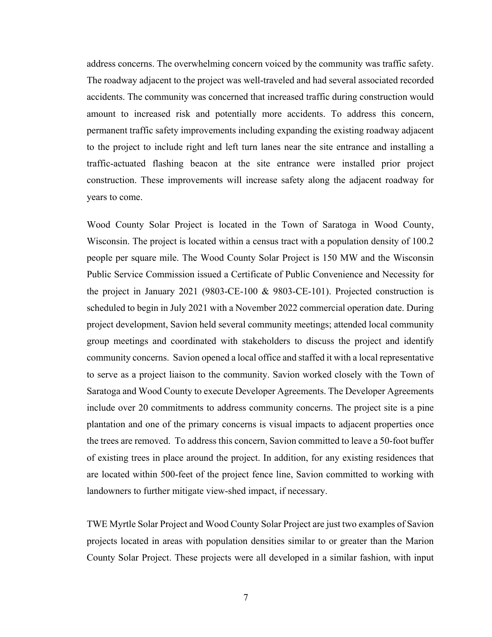address concerns. The overwhelming concern voiced by the community was traffic safety. The roadway adjacent to the project was well-traveled and had several associated recorded accidents. The community was concerned that increased traffic during construction would amount to increased risk and potentially more accidents. To address this concern, permanent traffic safety improvements including expanding the existing roadway adjacent to the project to include right and left turn lanes near the site entrance and installing a traffic-actuated flashing beacon at the site entrance were installed prior project construction. These improvements will increase safety along the adjacent roadway for years to come.

Wood County Solar Project is located in the Town of Saratoga in Wood County, Wisconsin. The project is located within a census tract with a population density of 100.2 people per square mile. The Wood County Solar Project is 150 MW and the Wisconsin Public Service Commission issued a Certificate of Public Convenience and Necessity for the project in January 2021 (9803-CE-100 & 9803-CE-101). Projected construction is scheduled to begin in July 2021 with a November 2022 commercial operation date. During project development, Savion held several community meetings; attended local community group meetings and coordinated with stakeholders to discuss the project and identify community concerns. Savion opened a local office and staffed it with a local representative to serve as a project liaison to the community. Savion worked closely with the Town of Saratoga and Wood County to execute Developer Agreements. The Developer Agreements include over 20 commitments to address community concerns. The project site is a pine plantation and one of the primary concerns is visual impacts to adjacent properties once the trees are removed. To address this concern, Savion committed to leave a 50-foot buffer of existing trees in place around the project. In addition, for any existing residences that are located within 500-feet of the project fence line, Savion committed to working with landowners to further mitigate view-shed impact, if necessary.

TWE Myrtle Solar Project and Wood County Solar Project are just two examples of Savion projects located in areas with population densities similar to or greater than the Marion County Solar Project. These projects were all developed in a similar fashion, with input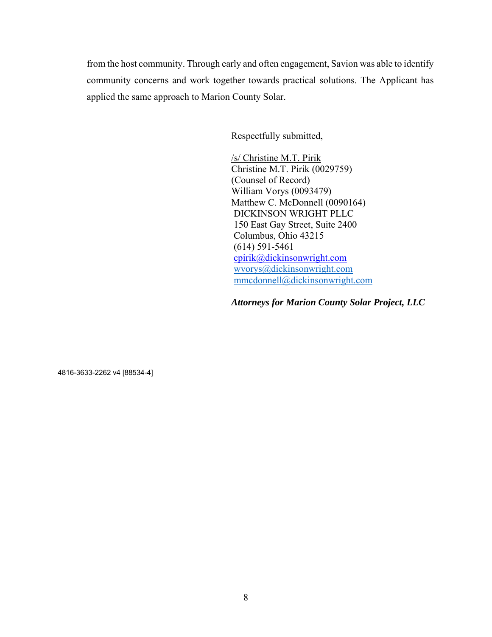from the host community. Through early and often engagement, Savion was able to identify community concerns and work together towards practical solutions. The Applicant has applied the same approach to Marion County Solar.

Respectfully submitted,

/s/ Christine M.T. Pirik Christine M.T. Pirik (0029759) (Counsel of Record) William Vorys (0093479) Matthew C. McDonnell (0090164) DICKINSON WRIGHT PLLC 150 East Gay Street, Suite 2400 Columbus, Ohio 43215 (614) 591-5461 cpirik@dickinsonwright.com wvorys@dickinsonwright.com mmcdonnell@dickinsonwright.com

*Attorneys for Marion County Solar Project, LLC* 

4816-3633-2262 v4 [88534-4]